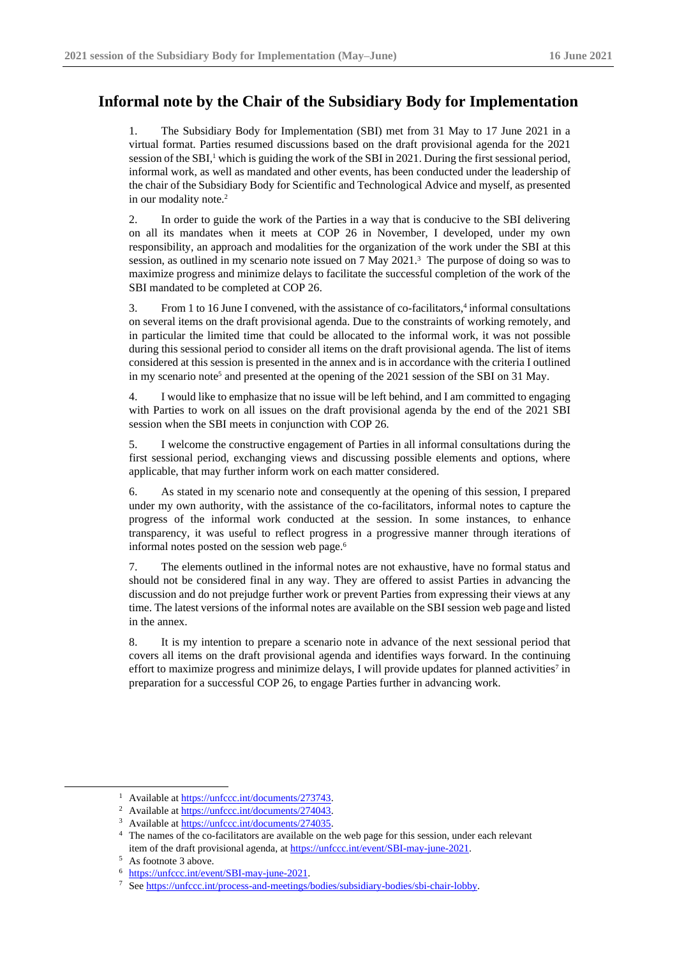## **Informal note by the Chair of the Subsidiary Body for Implementation**

1. The Subsidiary Body for Implementation (SBI) met from 31 May to 17 June 2021 in a virtual format. Parties resumed discussions based on the draft provisional agenda for the 2021 session of the SBI,<sup>1</sup> which is guiding the work of the SBI in 2021. During the first sessional period, informal work, as well as mandated and other events, has been conducted under the leadership of the chair of the Subsidiary Body for Scientific and Technological Advice and myself, as presented in our modality note.<sup>2</sup>

2. In order to guide the work of the Parties in a way that is conducive to the SBI delivering on all its mandates when it meets at COP 26 in November, I developed, under my own responsibility, an approach and modalities for the organization of the work under the SBI at this session, as outlined in my scenario note issued on 7 May 2021. <sup>3</sup> The purpose of doing so was to maximize progress and minimize delays to facilitate the successful completion of the work of the SBI mandated to be completed at COP 26.

3. From 1 to 16 June I convened, with the assistance of co-facilitators,<sup>4</sup> informal consultations on several items on the draft provisional agenda. Due to the constraints of working remotely, and in particular the limited time that could be allocated to the informal work, it was not possible during this sessional period to consider all items on the draft provisional agenda. The list of items considered at this session is presented in the annex and is in accordance with the criteria I outlined in my scenario note<sup>5</sup> and presented at the opening of the 2021 session of the SBI on 31 May.

4. I would like to emphasize that no issue will be left behind, and I am committed to engaging with Parties to work on all issues on the draft provisional agenda by the end of the 2021 SBI session when the SBI meets in conjunction with COP 26.

5. I welcome the constructive engagement of Parties in all informal consultations during the first sessional period, exchanging views and discussing possible elements and options, where applicable, that may further inform work on each matter considered.

6. As stated in my scenario note and consequently at the opening of this session, I prepared under my own authority, with the assistance of the co-facilitators, informal notes to capture the progress of the informal work conducted at the session. In some instances, to enhance transparency, it was useful to reflect progress in a progressive manner through iterations of informal notes posted on the session web page. 6

7. The elements outlined in the informal notes are not exhaustive, have no formal status and should not be considered final in any way. They are offered to assist Parties in advancing the discussion and do not prejudge further work or prevent Parties from expressing their views at any time. The latest versions of the informal notes are available on the SBI session web page and listed in the annex.

8. It is my intention to prepare a scenario note in advance of the next sessional period that covers all items on the draft provisional agenda and identifies ways forward. In the continuing effort to maximize progress and minimize delays, I will provide updates for planned activities<sup>7</sup> in preparation for a successful COP 26, to engage Parties further in advancing work.

<sup>&</sup>lt;sup>1</sup> Available a[t https://unfccc.int/documents/273743.](https://unfccc.int/documents/273743)

<sup>2</sup> Available a[t https://unfccc.int/documents/274043.](https://unfccc.int/documents/274043)

<sup>&</sup>lt;sup>3</sup> Available a[t https://unfccc.int/documents/274035.](https://unfccc.int/documents/274035)

<sup>4</sup> [The](https://unfccc.int/event/SBI-may-june-2021) names of the co-facilitators are available on the web page for this session, under each relevant item of the draft provisional agenda, a[t https://unfccc.int/event/SBI-may-june-2021.](https://unfccc.int/event/SBI-may-june-2021)

<sup>5</sup> As footnote 3 above.

<sup>6</sup> [https://unfccc.int/event/SBI-may-june-2021.](https://unfccc.int/event/SBI-may-june-2021)

<sup>7</sup> Se[e https://unfccc.int/process-and-meetings/bodies/subsidiary-bodies/sbi-chair-lobby.](https://unfccc.int/process-and-meetings/bodies/subsidiary-bodies/sbi-chair-lobby)